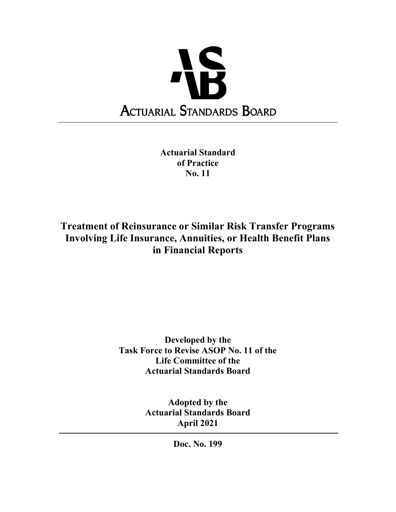

Actuarial Standard of Practice No. 11

Treatment of Reinsurance or Similar Risk Transfer Programs Involving Life Insurance, Annuities, or Health Benefit Plans in Financial Reports

> Developed by the Task Force to Revise ASOP No. 11 of the Life Committee of the Actuarial Standards Board

> > Adopted by the Actuarial Standards Board April 2021

> > > Doc. No. 199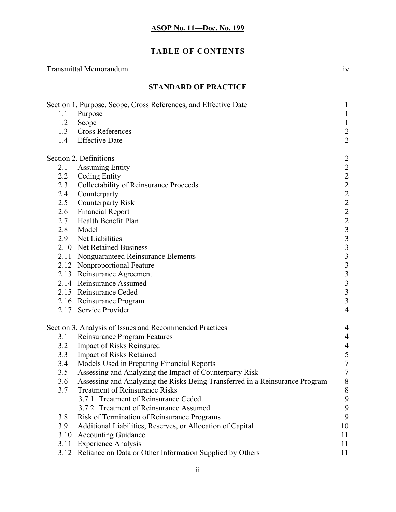# TABLE OF CONTENTS

| <b>Transmittal Memorandum</b>                                                                                                                                                                                                                                                                                                                                                                                                                                                                                                                                                                                                                                                                                                                                                                               |                                                                                                                                                        |
|-------------------------------------------------------------------------------------------------------------------------------------------------------------------------------------------------------------------------------------------------------------------------------------------------------------------------------------------------------------------------------------------------------------------------------------------------------------------------------------------------------------------------------------------------------------------------------------------------------------------------------------------------------------------------------------------------------------------------------------------------------------------------------------------------------------|--------------------------------------------------------------------------------------------------------------------------------------------------------|
| <b>STANDARD OF PRACTICE</b>                                                                                                                                                                                                                                                                                                                                                                                                                                                                                                                                                                                                                                                                                                                                                                                 |                                                                                                                                                        |
| Section 1. Purpose, Scope, Cross References, and Effective Date<br>Purpose<br>1.1<br>1.2<br>Scope<br><b>Cross References</b><br>1.3<br><b>Effective Date</b><br>1.4                                                                                                                                                                                                                                                                                                                                                                                                                                                                                                                                                                                                                                         | $\perp$<br>$\mathbf{1}$<br>$\mathbf{1}$<br>$\overline{c}$<br>$\overline{2}$                                                                            |
| Section 2. Definitions<br><b>Assuming Entity</b><br>2.1<br>2.2<br><b>Ceding Entity</b><br><b>Collectability of Reinsurance Proceeds</b><br>2.3<br>Counterparty<br>2.4<br><b>Counterparty Risk</b><br>2.5<br>2.6<br><b>Financial Report</b><br>Health Benefit Plan<br>2.7<br>2.8<br>Model<br>2.9<br>Net Liabilities<br>2.10 Net Retained Business<br>2.11<br>Nonguaranteed Reinsurance Elements<br>2.12 Nonproportional Feature<br>2.13 Reinsurance Agreement<br>2.14 Reinsurance Assumed<br>2.15 Reinsurance Ceded<br>2.16 Reinsurance Program<br>2.17 Service Provider                                                                                                                                                                                                                                     | $\overline{2}$<br>2222222333333<br>$\overline{3}$<br>$\overline{4}$                                                                                    |
| Section 3. Analysis of Issues and Recommended Practices<br><b>Reinsurance Program Features</b><br>3.1<br>3.2<br>Impact of Risks Reinsured<br>3.3<br><b>Impact of Risks Retained</b><br>Models Used in Preparing Financial Reports<br>3.4<br>Assessing and Analyzing the Impact of Counterparty Risk<br>3.5<br>Assessing and Analyzing the Risks Being Transferred in a Reinsurance Program<br>3.6<br><b>Treatment of Reinsurance Risks</b><br>3.7<br>3.7.1 Treatment of Reinsurance Ceded<br>3.7.2 Treatment of Reinsurance Assumed<br>3.8<br>Risk of Termination of Reinsurance Programs<br>3.9<br>Additional Liabilities, Reserves, or Allocation of Capital<br>3.10<br><b>Accounting Guidance</b><br><b>Experience Analysis</b><br>3.11<br>3.12 Reliance on Data or Other Information Supplied by Others | 4<br>$\overline{\mathcal{A}}$<br>$\overline{4}$<br>5<br>$\tau$<br>$\tau$<br>$\,$ $\,$<br>$\,8\,$<br>9<br>$\boldsymbol{9}$<br>9<br>10<br>11<br>11<br>11 |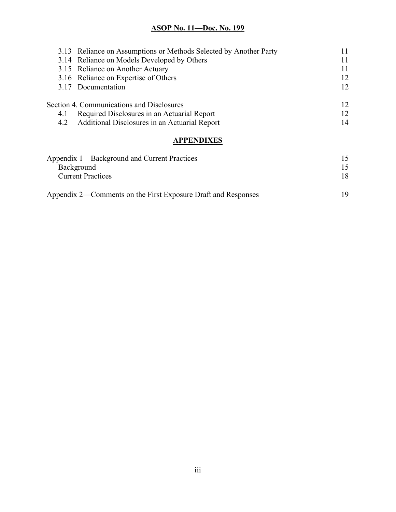|     | 3.13 Reliance on Assumptions or Methods Selected by Another Party |    |
|-----|-------------------------------------------------------------------|----|
|     | 3.14 Reliance on Models Developed by Others                       | 11 |
|     | 3.15 Reliance on Another Actuary                                  | 11 |
|     | 3.16 Reliance on Expertise of Others                              | 12 |
|     | 3.17 Documentation                                                | 12 |
|     | Section 4. Communications and Disclosures                         | 12 |
| 4.1 | Required Disclosures in an Actuarial Report                       | 12 |
|     | 4.2 Additional Disclosures in an Actuarial Report                 | 14 |
|     |                                                                   |    |

# **APPENDIXES**

| Appendix 1—Background and Current Practices                   |     |
|---------------------------------------------------------------|-----|
| Background                                                    |     |
| <b>Current Practices</b>                                      | 18  |
| Appendix 2—Comments on the First Exposure Draft and Responses | 1 Q |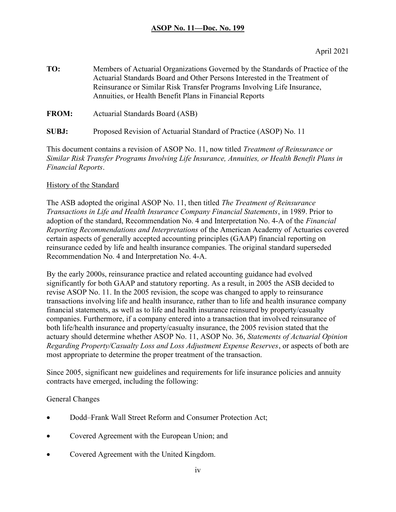TO: Members of Actuarial Organizations Governed by the Standards of Practice of the Actuarial Standards Board and Other Persons Interested in the Treatment of Reinsurance or Similar Risk Transfer Programs Involving Life Insurance, Annuities, or Health Benefit Plans in Financial Reports

FROM: Actuarial Standards Board (ASB)

SUBJ: Proposed Revision of Actuarial Standard of Practice (ASOP) No. 11

This document contains a revision of ASOP No. 11, now titled Treatment of Reinsurance or Similar Risk Transfer Programs Involving Life Insurance, Annuities, or Health Benefit Plans in Financial Reports.

#### History of the Standard

The ASB adopted the original ASOP No. 11, then titled The Treatment of Reinsurance Transactions in Life and Health Insurance Company Financial Statements, in 1989. Prior to adoption of the standard, Recommendation No. 4 and Interpretation No. 4-A of the Financial Reporting Recommendations and Interpretations of the American Academy of Actuaries covered certain aspects of generally accepted accounting principles (GAAP) financial reporting on reinsurance ceded by life and health insurance companies. The original standard superseded Recommendation No. 4 and Interpretation No. 4-A.

By the early 2000s, reinsurance practice and related accounting guidance had evolved significantly for both GAAP and statutory reporting. As a result, in 2005 the ASB decided to revise ASOP No. 11. In the 2005 revision, the scope was changed to apply to reinsurance transactions involving life and health insurance, rather than to life and health insurance company financial statements, as well as to life and health insurance reinsured by property/casualty companies. Furthermore, if a company entered into a transaction that involved reinsurance of both life/health insurance and property/casualty insurance, the 2005 revision stated that the actuary should determine whether ASOP No. 11, ASOP No. 36, Statements of Actuarial Opinion Regarding Property/Casualty Loss and Loss Adjustment Expense Reserves, or aspects of both are most appropriate to determine the proper treatment of the transaction.

Since 2005, significant new guidelines and requirements for life insurance policies and annuity contracts have emerged, including the following:

General Changes

- Dodd–Frank Wall Street Reform and Consumer Protection Act;
- Covered Agreement with the European Union; and
- Covered Agreement with the United Kingdom.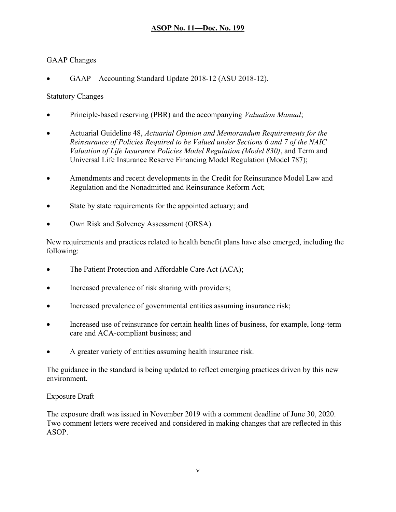### GAAP Changes

GAAP – Accounting Standard Update 2018-12 (ASU 2018-12).

### Statutory Changes

- Principle-based reserving (PBR) and the accompanying *Valuation Manual*;
- Actuarial Guideline 48, Actuarial Opinion and Memorandum Requirements for the Reinsurance of Policies Required to be Valued under Sections 6 and 7 of the NAIC Valuation of Life Insurance Policies Model Regulation (Model 830), and Term and Universal Life Insurance Reserve Financing Model Regulation (Model 787);
- Amendments and recent developments in the Credit for Reinsurance Model Law and Regulation and the Nonadmitted and Reinsurance Reform Act;
- State by state requirements for the appointed actuary; and
- Own Risk and Solvency Assessment (ORSA).

New requirements and practices related to health benefit plans have also emerged, including the following:

- The Patient Protection and Affordable Care Act (ACA);
- Increased prevalence of risk sharing with providers;
- Increased prevalence of governmental entities assuming insurance risk;
- Increased use of reinsurance for certain health lines of business, for example, long-term care and ACA-compliant business; and
- A greater variety of entities assuming health insurance risk.

The guidance in the standard is being updated to reflect emerging practices driven by this new environment.

### Exposure Draft

The exposure draft was issued in November 2019 with a comment deadline of June 30, 2020. Two comment letters were received and considered in making changes that are reflected in this ASOP.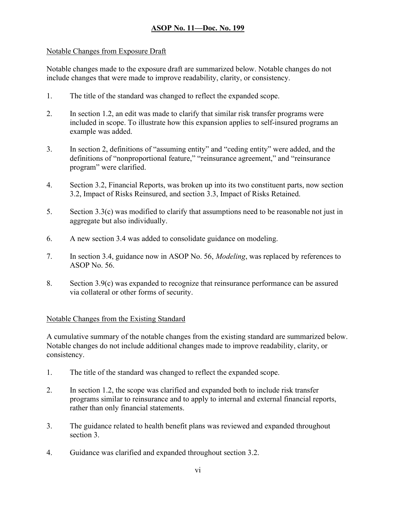## Notable Changes from Exposure Draft

Notable changes made to the exposure draft are summarized below. Notable changes do not include changes that were made to improve readability, clarity, or consistency.

- 1. The title of the standard was changed to reflect the expanded scope.
- 2. In section 1.2, an edit was made to clarify that similar risk transfer programs were included in scope. To illustrate how this expansion applies to self-insured programs an example was added.
- 3. In section 2, definitions of "assuming entity" and "ceding entity" were added, and the definitions of "nonproportional feature," "reinsurance agreement," and "reinsurance program" were clarified.
- 4. Section 3.2, Financial Reports, was broken up into its two constituent parts, now section 3.2, Impact of Risks Reinsured, and section 3.3, Impact of Risks Retained.
- 5. Section 3.3(c) was modified to clarify that assumptions need to be reasonable not just in aggregate but also individually.
- 6. A new section 3.4 was added to consolidate guidance on modeling.
- 7. In section 3.4, guidance now in ASOP No. 56, Modeling, was replaced by references to ASOP No. 56.
- 8. Section 3.9(c) was expanded to recognize that reinsurance performance can be assured via collateral or other forms of security.

### Notable Changes from the Existing Standard

A cumulative summary of the notable changes from the existing standard are summarized below. Notable changes do not include additional changes made to improve readability, clarity, or consistency.

- 1. The title of the standard was changed to reflect the expanded scope.
- 2. In section 1.2, the scope was clarified and expanded both to include risk transfer programs similar to reinsurance and to apply to internal and external financial reports, rather than only financial statements.
- 3. The guidance related to health benefit plans was reviewed and expanded throughout section 3.
- 4. Guidance was clarified and expanded throughout section 3.2.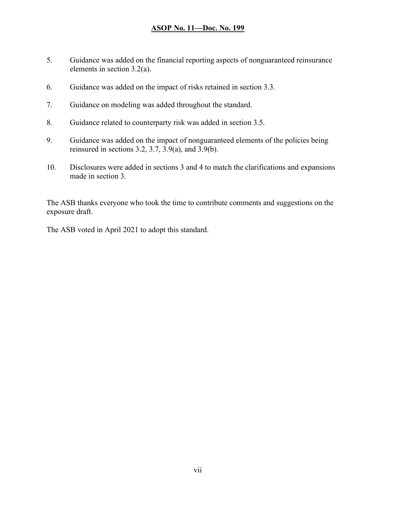- 5. Guidance was added on the financial reporting aspects of nonguaranteed reinsurance elements in section 3.2(a).
- 6. Guidance was added on the impact of risks retained in section 3.3.
- 7. Guidance on modeling was added throughout the standard.
- 8. Guidance related to counterparty risk was added in section 3.5.
- 9. Guidance was added on the impact of nonguaranteed elements of the policies being reinsured in sections  $3.2$ ,  $3.7$ ,  $3.9(a)$ , and  $3.9(b)$ .
- 10. Disclosures were added in sections 3 and 4 to match the clarifications and expansions made in section 3.

The ASB thanks everyone who took the time to contribute comments and suggestions on the exposure draft.

The ASB voted in April 2021 to adopt this standard.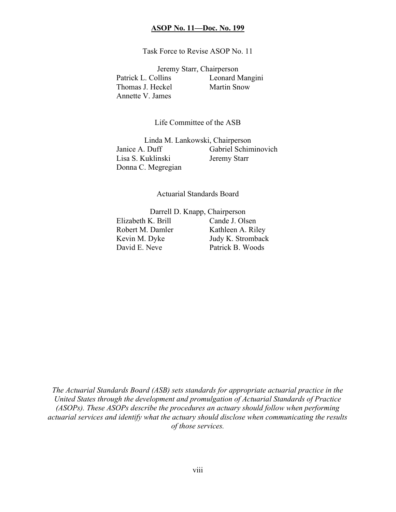Task Force to Revise ASOP No. 11

Jeremy Starr, Chairperson Patrick L. Collins Leonard Mangini Thomas J. Heckel Martin Snow Annette V. James

Life Committee of the ASB

Linda M. Lankowski, Chairperson Janice A. Duff Gabriel Schiminovich Lisa S. Kuklinski Jeremy Starr Donna C. Megregian

#### Actuarial Standards Board

 Darrell D. Knapp, Chairperson Elizabeth K. Brill Cande J. Olsen Robert M. Damler Kathleen A. Riley Kevin M. Dyke Judy K. Stromback David E. Neve Patrick B. Woods

The Actuarial Standards Board (ASB) sets standards for appropriate actuarial practice in the United States through the development and promulgation of Actuarial Standards of Practice (ASOPs). These ASOPs describe the procedures an actuary should follow when performing actuarial services and identify what the actuary should disclose when communicating the results of those services.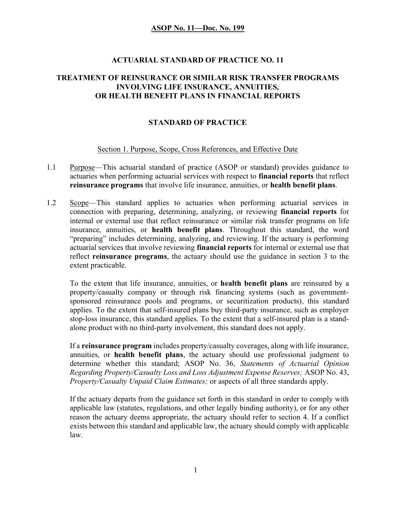### ACTUARIAL STANDARD OF PRACTICE NO. 11

### TREATMENT OF REINSURANCE OR SIMILAR RISK TRANSFER PROGRAMS INVOLVING LIFE INSURANCE, ANNUITIES, OR HEALTH BENEFIT PLANS IN FINANCIAL REPORTS

### STANDARD OF PRACTICE

#### Section 1. Purpose, Scope, Cross References, and Effective Date

- 1.1 Purpose—This actuarial standard of practice (ASOP or standard) provides guidance to actuaries when performing actuarial services with respect to financial reports that reflect reinsurance programs that involve life insurance, annuities, or health benefit plans.
- 1.2 Scope—This standard applies to actuaries when performing actuarial services in connection with preparing, determining, analyzing, or reviewing financial reports for internal or external use that reflect reinsurance or similar risk transfer programs on life insurance, annuities, or health benefit plans. Throughout this standard, the word "preparing" includes determining, analyzing, and reviewing. If the actuary is performing actuarial services that involve reviewing financial reports for internal or external use that reflect reinsurance programs, the actuary should use the guidance in section 3 to the extent practicable.

To the extent that life insurance, annuities, or health benefit plans are reinsured by a property/casualty company or through risk financing systems (such as governmentsponsored reinsurance pools and programs, or securitization products), this standard applies. To the extent that self-insured plans buy third-party insurance, such as employer stop-loss insurance, this standard applies. To the extent that a self-insured plan is a standalone product with no third-party involvement, this standard does not apply.

If a reinsurance program includes property/casualty coverages, along with life insurance, annuities, or health benefit plans, the actuary should use professional judgment to determine whether this standard; ASOP No. 36, Statements of Actuarial Opinion Regarding Property/Casualty Loss and Loss Adjustment Expense Reserves; ASOP No. 43, Property/Casualty Unpaid Claim Estimates; or aspects of all three standards apply.

If the actuary departs from the guidance set forth in this standard in order to comply with applicable law (statutes, regulations, and other legally binding authority), or for any other reason the actuary deems appropriate, the actuary should refer to section 4. If a conflict exists between this standard and applicable law, the actuary should comply with applicable law.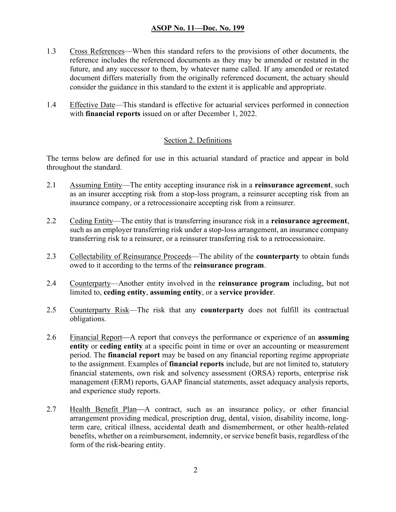- 1.3 Cross References—When this standard refers to the provisions of other documents, the reference includes the referenced documents as they may be amended or restated in the future, and any successor to them, by whatever name called. If any amended or restated document differs materially from the originally referenced document, the actuary should consider the guidance in this standard to the extent it is applicable and appropriate.
- 1.4 Effective Date—This standard is effective for actuarial services performed in connection with **financial reports** issued on or after December 1, 2022.

#### Section 2. Definitions

The terms below are defined for use in this actuarial standard of practice and appear in bold throughout the standard.

- 2.1 Assuming Entity—The entity accepting insurance risk in a reinsurance agreement, such as an insurer accepting risk from a stop-loss program, a reinsurer accepting risk from an insurance company, or a retrocessionaire accepting risk from a reinsurer.
- 2.2 Ceding Entity—The entity that is transferring insurance risk in a reinsurance agreement, such as an employer transferring risk under a stop-loss arrangement, an insurance company transferring risk to a reinsurer, or a reinsurer transferring risk to a retrocessionaire.
- 2.3 Collectability of Reinsurance Proceeds—The ability of the **counterparty** to obtain funds owed to it according to the terms of the reinsurance program.
- 2.4 Counterparty—Another entity involved in the reinsurance program including, but not limited to, ceding entity, assuming entity, or a service provider.
- 2.5 Counterparty Risk—The risk that any counterparty does not fulfill its contractual obligations.
- 2.6 Financial Report—A report that conveys the performance or experience of an **assuming** entity or ceding entity at a specific point in time or over an accounting or measurement period. The financial report may be based on any financial reporting regime appropriate to the assignment. Examples of financial reports include, but are not limited to, statutory financial statements, own risk and solvency assessment (ORSA) reports, enterprise risk management (ERM) reports, GAAP financial statements, asset adequacy analysis reports, and experience study reports.
- 2.7 Health Benefit Plan—A contract, such as an insurance policy, or other financial arrangement providing medical, prescription drug, dental, vision, disability income, longterm care, critical illness, accidental death and dismemberment, or other health-related benefits, whether on a reimbursement, indemnity, or service benefit basis, regardless of the form of the risk-bearing entity.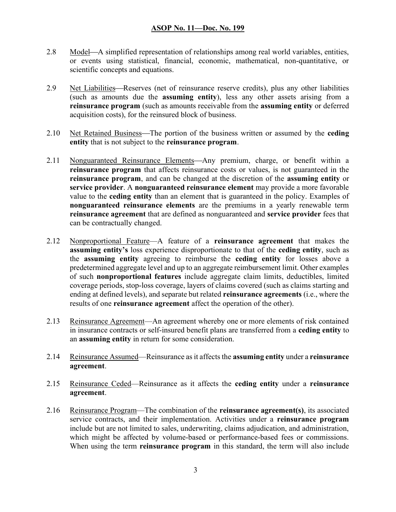- 2.8 Model—A simplified representation of relationships among real world variables, entities, or events using statistical, financial, economic, mathematical, non-quantitative, or scientific concepts and equations.
- 2.9 Net Liabilities—Reserves (net of reinsurance reserve credits), plus any other liabilities (such as amounts due the assuming entity), less any other assets arising from a reinsurance program (such as amounts receivable from the assuming entity or deferred acquisition costs), for the reinsured block of business.
- 2.10 Net Retained Business—The portion of the business written or assumed by the ceding entity that is not subject to the reinsurance program.
- 2.11 Nonguaranteed Reinsurance Elements—Any premium, charge, or benefit within a reinsurance program that affects reinsurance costs or values, is not guaranteed in the reinsurance program, and can be changed at the discretion of the assuming entity or service provider. A nonguaranteed reinsurance element may provide a more favorable value to the ceding entity than an element that is guaranteed in the policy. Examples of nonguaranteed reinsurance elements are the premiums in a yearly renewable term reinsurance agreement that are defined as nonguaranteed and service provider fees that can be contractually changed.
- 2.12 Nonproportional Feature—A feature of a reinsurance agreement that makes the assuming entity's loss experience disproportionate to that of the ceding entity, such as the assuming entity agreeing to reimburse the ceding entity for losses above a predetermined aggregate level and up to an aggregate reimbursement limit. Other examples of such nonproportional features include aggregate claim limits, deductibles, limited coverage periods, stop-loss coverage, layers of claims covered (such as claims starting and ending at defined levels), and separate but related reinsurance agreements (i.e., where the results of one **reinsurance agreement** affect the operation of the other).
- 2.13 Reinsurance Agreement—An agreement whereby one or more elements of risk contained in insurance contracts or self-insured benefit plans are transferred from a ceding entity to an assuming entity in return for some consideration.
- 2.14 Reinsurance Assumed—Reinsurance as it affects the assuming entity under a reinsurance agreement.
- 2.15 Reinsurance Ceded—Reinsurance as it affects the ceding entity under a reinsurance agreement.
- 2.16 Reinsurance Program—The combination of the **reinsurance agreement(s)**, its associated service contracts, and their implementation. Activities under a reinsurance program include but are not limited to sales, underwriting, claims adjudication, and administration, which might be affected by volume-based or performance-based fees or commissions. When using the term **reinsurance program** in this standard, the term will also include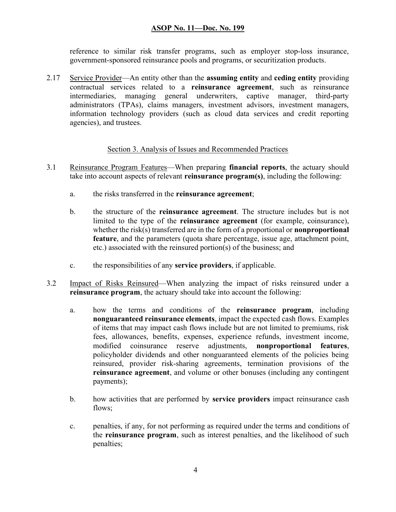reference to similar risk transfer programs, such as employer stop-loss insurance, government-sponsored reinsurance pools and programs, or securitization products.

2.17 Service Provider—An entity other than the assuming entity and ceding entity providing contractual services related to a reinsurance agreement, such as reinsurance intermediaries, managing general underwriters, captive manager, third-party administrators (TPAs), claims managers, investment advisors, investment managers, information technology providers (such as cloud data services and credit reporting agencies), and trustees.

#### Section 3. Analysis of Issues and Recommended Practices

- 3.1 Reinsurance Program Features—When preparing financial reports, the actuary should take into account aspects of relevant **reinsurance program(s)**, including the following:
	- a. the risks transferred in the reinsurance agreement;
	- b. the structure of the reinsurance agreement. The structure includes but is not limited to the type of the reinsurance agreement (for example, coinsurance), whether the risk(s) transferred are in the form of a proportional or **nonproportional** feature, and the parameters (quota share percentage, issue age, attachment point, etc.) associated with the reinsured portion(s) of the business; and
	- c. the responsibilities of any service providers, if applicable.
- 3.2 Impact of Risks Reinsured—When analyzing the impact of risks reinsured under a reinsurance program, the actuary should take into account the following:
	- a. how the terms and conditions of the reinsurance program, including nonguaranteed reinsurance elements, impact the expected cash flows. Examples of items that may impact cash flows include but are not limited to premiums, risk fees, allowances, benefits, expenses, experience refunds, investment income, modified coinsurance reserve adjustments, nonproportional features, policyholder dividends and other nonguaranteed elements of the policies being reinsured, provider risk-sharing agreements, termination provisions of the reinsurance agreement, and volume or other bonuses (including any contingent payments);
	- b. how activities that are performed by service providers impact reinsurance cash flows;
	- c. penalties, if any, for not performing as required under the terms and conditions of the reinsurance program, such as interest penalties, and the likelihood of such penalties;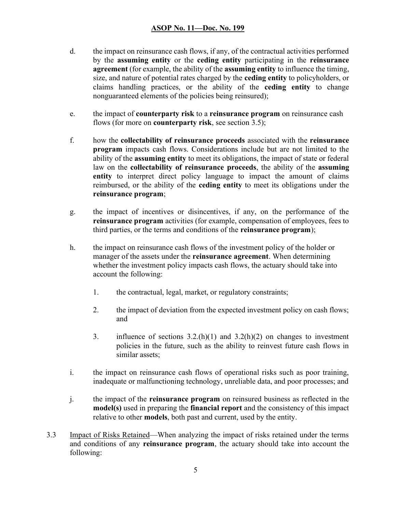- d. the impact on reinsurance cash flows, if any, of the contractual activities performed by the assuming entity or the ceding entity participating in the reinsurance agreement (for example, the ability of the assuming entity to influence the timing, size, and nature of potential rates charged by the ceding entity to policyholders, or claims handling practices, or the ability of the ceding entity to change nonguaranteed elements of the policies being reinsured);
- e. the impact of counterparty risk to a reinsurance program on reinsurance cash flows (for more on **counterparty risk**, see section 3.5);
- f. how the collectability of reinsurance proceeds associated with the reinsurance program impacts cash flows. Considerations include but are not limited to the ability of the assuming entity to meet its obligations, the impact of state or federal law on the collectability of reinsurance proceeds, the ability of the assuming entity to interpret direct policy language to impact the amount of claims reimbursed, or the ability of the ceding entity to meet its obligations under the reinsurance program;
- g. the impact of incentives or disincentives, if any, on the performance of the reinsurance program activities (for example, compensation of employees, fees to third parties, or the terms and conditions of the reinsurance program);
- h. the impact on reinsurance cash flows of the investment policy of the holder or manager of the assets under the reinsurance agreement. When determining whether the investment policy impacts cash flows, the actuary should take into account the following:
	- 1. the contractual, legal, market, or regulatory constraints;
	- 2. the impact of deviation from the expected investment policy on cash flows; and
	- 3. influence of sections  $3.2(h)(1)$  and  $3.2(h)(2)$  on changes to investment policies in the future, such as the ability to reinvest future cash flows in similar assets;
- i. the impact on reinsurance cash flows of operational risks such as poor training, inadequate or malfunctioning technology, unreliable data, and poor processes; and
- j. the impact of the reinsurance program on reinsured business as reflected in the model(s) used in preparing the financial report and the consistency of this impact relative to other models, both past and current, used by the entity.
- 3.3 Impact of Risks Retained—When analyzing the impact of risks retained under the terms and conditions of any reinsurance program, the actuary should take into account the following: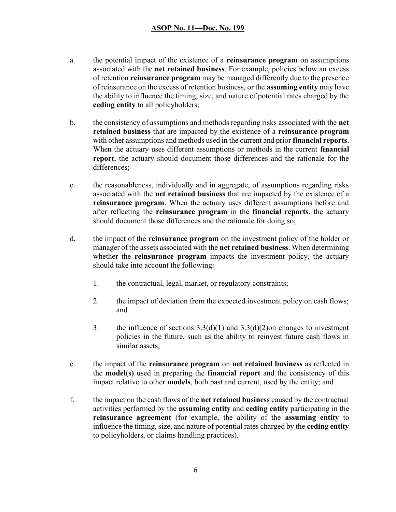- a. the potential impact of the existence of a reinsurance program on assumptions associated with the net retained business. For example, policies below an excess of retention reinsurance program may be managed differently due to the presence of reinsurance on the excess of retention business, or the assuming entity may have the ability to influence the timing, size, and nature of potential rates charged by the ceding entity to all policyholders;
- b. the consistency of assumptions and methods regarding risks associated with the net retained business that are impacted by the existence of a reinsurance program with other assumptions and methods used in the current and prior **financial reports**. When the actuary uses different assumptions or methods in the current **financial** report, the actuary should document those differences and the rationale for the differences;
- c. the reasonableness, individually and in aggregate, of assumptions regarding risks associated with the net retained business that are impacted by the existence of a reinsurance program. When the actuary uses different assumptions before and after reflecting the reinsurance program in the financial reports, the actuary should document those differences and the rationale for doing so;
- d. the impact of the reinsurance program on the investment policy of the holder or manager of the assets associated with the net retained business. When determining whether the **reinsurance program** impacts the investment policy, the actuary should take into account the following:
	- 1. the contractual, legal, market, or regulatory constraints;
	- 2. the impact of deviation from the expected investment policy on cash flows; and
	- 3. the influence of sections  $3.3(d)(1)$  and  $3.3(d)(2)$  on changes to investment policies in the future, such as the ability to reinvest future cash flows in similar assets;
- e. the impact of the reinsurance program on net retained business as reflected in the model(s) used in preparing the financial report and the consistency of this impact relative to other models, both past and current, used by the entity; and
- f. the impact on the cash flows of the net retained business caused by the contractual activities performed by the assuming entity and ceding entity participating in the reinsurance agreement (for example, the ability of the assuming entity to influence the timing, size, and nature of potential rates charged by the ceding entity to policyholders, or claims handling practices).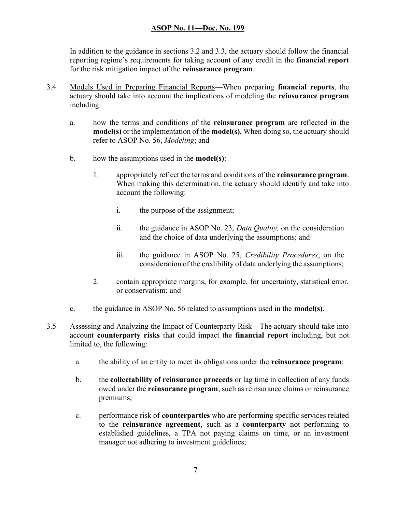In addition to the guidance in sections 3.2 and 3.3, the actuary should follow the financial reporting regime's requirements for taking account of any credit in the **financial report** for the risk mitigation impact of the reinsurance program.

- 3.4 Models Used in Preparing Financial Reports—When preparing financial reports, the actuary should take into account the implications of modeling the reinsurance program including:
	- a. how the terms and conditions of the reinsurance program are reflected in the model(s) or the implementation of the model(s). When doing so, the actuary should refer to ASOP No. 56, Modeling; and
	- b. how the assumptions used in the **model(s)**:
		- 1. appropriately reflect the terms and conditions of the reinsurance program. When making this determination, the actuary should identify and take into account the following:
			- i. the purpose of the assignment;
			- ii. the guidance in ASOP No. 23, Data Quality, on the consideration and the choice of data underlying the assumptions; and
			- iii. the guidance in ASOP No. 25, Credibility Procedures, on the consideration of the credibility of data underlying the assumptions;
		- 2. contain appropriate margins, for example, for uncertainty, statistical error, or conservatism; and
	- c. the guidance in ASOP No. 56 related to assumptions used in the model(s).
- 3.5 Assessing and Analyzing the Impact of Counterparty Risk—The actuary should take into account counterparty risks that could impact the financial report including, but not limited to, the following:
	- a. the ability of an entity to meet its obligations under the reinsurance program;
	- b. the collectability of reinsurance proceeds or lag time in collection of any funds owed under the reinsurance program, such as reinsurance claims or reinsurance premiums;
	- c. performance risk of counterparties who are performing specific services related to the reinsurance agreement, such as a counterparty not performing to established guidelines, a TPA not paying claims on time, or an investment manager not adhering to investment guidelines;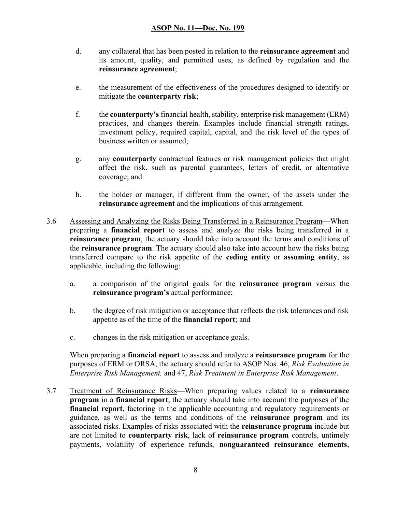- d. any collateral that has been posted in relation to the reinsurance agreement and its amount, quality, and permitted uses, as defined by regulation and the reinsurance agreement;
- e. the measurement of the effectiveness of the procedures designed to identify or mitigate the counterparty risk;
- f. the counterparty's financial health, stability, enterprise risk management (ERM) practices, and changes therein. Examples include financial strength ratings, investment policy, required capital, capital, and the risk level of the types of business written or assumed;
- g. any counterparty contractual features or risk management policies that might affect the risk, such as parental guarantees, letters of credit, or alternative coverage; and
- h. the holder or manager, if different from the owner, of the assets under the reinsurance agreement and the implications of this arrangement.
- 3.6 Assessing and Analyzing the Risks Being Transferred in a Reinsurance Program—When preparing a financial report to assess and analyze the risks being transferred in a reinsurance program, the actuary should take into account the terms and conditions of the reinsurance program. The actuary should also take into account how the risks being transferred compare to the risk appetite of the ceding entity or assuming entity, as applicable, including the following:
	- a. a comparison of the original goals for the reinsurance program versus the reinsurance program's actual performance;
	- b. the degree of risk mitigation or acceptance that reflects the risk tolerances and risk appetite as of the time of the financial report; and
	- c. changes in the risk mitigation or acceptance goals.

When preparing a **financial report** to assess and analyze a **reinsurance program** for the purposes of ERM or ORSA, the actuary should refer to ASOP Nos. 46, Risk Evaluation in Enterprise Risk Management, and 47, Risk Treatment in Enterprise Risk Management.

3.7 Treatment of Reinsurance Risks—When preparing values related to a reinsurance program in a financial report, the actuary should take into account the purposes of the financial report, factoring in the applicable accounting and regulatory requirements or guidance, as well as the terms and conditions of the reinsurance program and its associated risks. Examples of risks associated with the reinsurance program include but are not limited to counterparty risk, lack of reinsurance program controls, untimely payments, volatility of experience refunds, nonguaranteed reinsurance elements,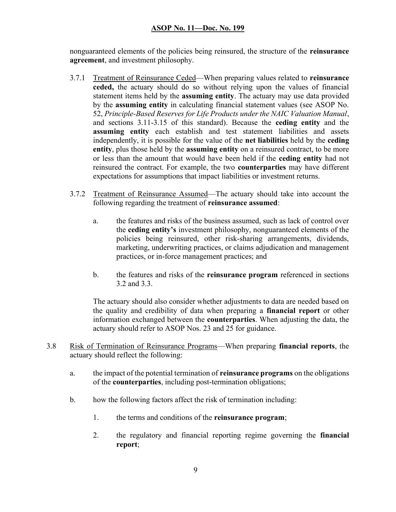nonguaranteed elements of the policies being reinsured, the structure of the **reinsurance** agreement, and investment philosophy.

- 3.7.1 Treatment of Reinsurance Ceded—When preparing values related to reinsurance ceded, the actuary should do so without relying upon the values of financial statement items held by the **assuming entity**. The actuary may use data provided by the assuming entity in calculating financial statement values (see ASOP No. 52, Principle-Based Reserves for Life Products under the NAIC Valuation Manual, and sections 3.11-3.15 of this standard). Because the ceding entity and the assuming entity each establish and test statement liabilities and assets independently, it is possible for the value of the net liabilities held by the ceding entity, plus those held by the assuming entity on a reinsured contract, to be more or less than the amount that would have been held if the ceding entity had not reinsured the contract. For example, the two counterparties may have different expectations for assumptions that impact liabilities or investment returns.
- 3.7.2 Treatment of Reinsurance Assumed—The actuary should take into account the following regarding the treatment of reinsurance assumed:
	- a. the features and risks of the business assumed, such as lack of control over the ceding entity's investment philosophy, nonguaranteed elements of the policies being reinsured, other risk-sharing arrangements, dividends, marketing, underwriting practices, or claims adjudication and management practices, or in-force management practices; and
	- b. the features and risks of the reinsurance program referenced in sections 3.2 and 3.3.

The actuary should also consider whether adjustments to data are needed based on the quality and credibility of data when preparing a financial report or other information exchanged between the counterparties. When adjusting the data, the actuary should refer to ASOP Nos. 23 and 25 for guidance.

- 3.8 Risk of Termination of Reinsurance Programs—When preparing financial reports, the actuary should reflect the following:
	- a. the impact of the potential termination of **reinsurance programs** on the obligations of the counterparties, including post-termination obligations;
	- b. how the following factors affect the risk of termination including:
		- 1. the terms and conditions of the reinsurance program;
		- 2. the regulatory and financial reporting regime governing the financial report;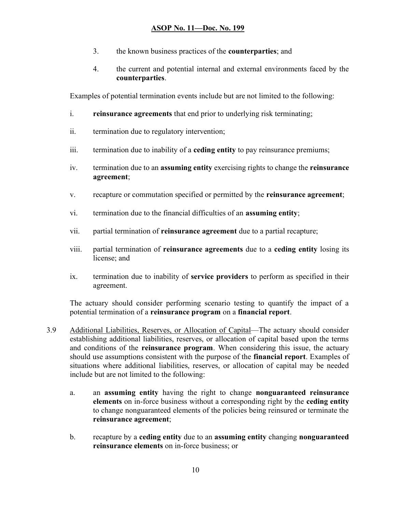- 3. the known business practices of the counterparties; and
- 4. the current and potential internal and external environments faced by the counterparties.

Examples of potential termination events include but are not limited to the following:

- i. reinsurance agreements that end prior to underlying risk terminating;
- ii. termination due to regulatory intervention;
- iii. termination due to inability of a ceding entity to pay reinsurance premiums;
- iv. termination due to an assuming entity exercising rights to change the reinsurance agreement;
- v. recapture or commutation specified or permitted by the reinsurance agreement;
- vi. termination due to the financial difficulties of an assuming entity;
- vii. partial termination of reinsurance agreement due to a partial recapture;
- viii. partial termination of reinsurance agreements due to a ceding entity losing its license; and
- ix. termination due to inability of service providers to perform as specified in their agreement.

The actuary should consider performing scenario testing to quantify the impact of a potential termination of a reinsurance program on a financial report.

- 3.9 Additional Liabilities, Reserves, or Allocation of Capital—The actuary should consider establishing additional liabilities, reserves, or allocation of capital based upon the terms and conditions of the **reinsurance program**. When considering this issue, the actuary should use assumptions consistent with the purpose of the financial report. Examples of situations where additional liabilities, reserves, or allocation of capital may be needed include but are not limited to the following:
	- a. an assuming entity having the right to change nonguaranteed reinsurance elements on in-force business without a corresponding right by the ceding entity to change nonguaranteed elements of the policies being reinsured or terminate the reinsurance agreement;
	- b. recapture by a ceding entity due to an assuming entity changing nonguaranteed reinsurance elements on in-force business; or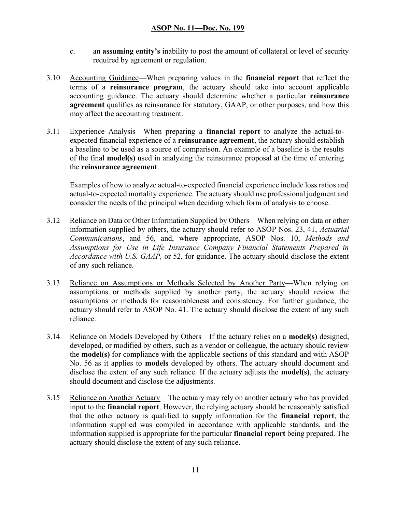- c. an assuming entity's inability to post the amount of collateral or level of security required by agreement or regulation.
- 3.10 Accounting Guidance—When preparing values in the **financial report** that reflect the terms of a reinsurance program, the actuary should take into account applicable accounting guidance. The actuary should determine whether a particular reinsurance agreement qualifies as reinsurance for statutory, GAAP, or other purposes, and how this may affect the accounting treatment.
- 3.11 Experience Analysis—When preparing a financial report to analyze the actual-toexpected financial experience of a reinsurance agreement, the actuary should establish a baseline to be used as a source of comparison. An example of a baseline is the results of the final model(s) used in analyzing the reinsurance proposal at the time of entering the reinsurance agreement.

Examples of how to analyze actual-to-expected financial experience include loss ratios and actual-to-expected mortality experience. The actuary should use professional judgment and consider the needs of the principal when deciding which form of analysis to choose.

- 3.12 Reliance on Data or Other Information Supplied by Others—When relying on data or other information supplied by others, the actuary should refer to ASOP Nos. 23, 41, Actuarial Communications, and 56, and, where appropriate, ASOP Nos. 10, Methods and Assumptions for Use in Life Insurance Company Financial Statements Prepared in Accordance with U.S. GAAP, or 52, for guidance. The actuary should disclose the extent of any such reliance.
- 3.13 Reliance on Assumptions or Methods Selected by Another Party—When relying on assumptions or methods supplied by another party, the actuary should review the assumptions or methods for reasonableness and consistency. For further guidance, the actuary should refer to ASOP No. 41. The actuary should disclose the extent of any such reliance.
- 3.14 Reliance on Models Developed by Others—If the actuary relies on a model(s) designed, developed, or modified by others, such as a vendor or colleague, the actuary should review the model(s) for compliance with the applicable sections of this standard and with ASOP No. 56 as it applies to models developed by others. The actuary should document and disclose the extent of any such reliance. If the actuary adjusts the **model(s)**, the actuary should document and disclose the adjustments.
- 3.15 Reliance on Another Actuary—The actuary may rely on another actuary who has provided input to the financial report. However, the relying actuary should be reasonably satisfied that the other actuary is qualified to supply information for the financial report, the information supplied was compiled in accordance with applicable standards, and the information supplied is appropriate for the particular financial report being prepared. The actuary should disclose the extent of any such reliance.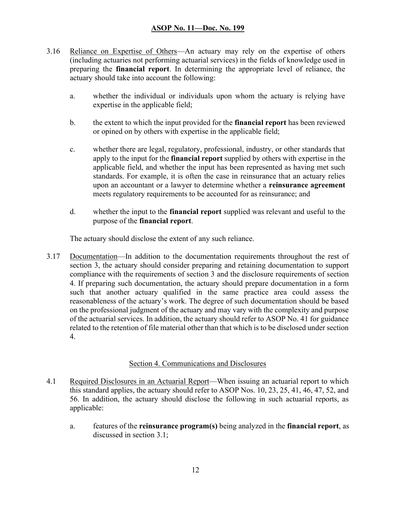- 3.16 Reliance on Expertise of Others—An actuary may rely on the expertise of others (including actuaries not performing actuarial services) in the fields of knowledge used in preparing the financial report. In determining the appropriate level of reliance, the actuary should take into account the following:
	- a. whether the individual or individuals upon whom the actuary is relying have expertise in the applicable field;
	- b. the extent to which the input provided for the financial report has been reviewed or opined on by others with expertise in the applicable field;
	- c. whether there are legal, regulatory, professional, industry, or other standards that apply to the input for the **financial report** supplied by others with expertise in the applicable field, and whether the input has been represented as having met such standards. For example, it is often the case in reinsurance that an actuary relies upon an accountant or a lawyer to determine whether a reinsurance agreement meets regulatory requirements to be accounted for as reinsurance; and
	- d. whether the input to the financial report supplied was relevant and useful to the purpose of the financial report.

The actuary should disclose the extent of any such reliance.

3.17 Documentation—In addition to the documentation requirements throughout the rest of section 3, the actuary should consider preparing and retaining documentation to support compliance with the requirements of section 3 and the disclosure requirements of section 4. If preparing such documentation, the actuary should prepare documentation in a form such that another actuary qualified in the same practice area could assess the reasonableness of the actuary's work. The degree of such documentation should be based on the professional judgment of the actuary and may vary with the complexity and purpose of the actuarial services. In addition, the actuary should refer to ASOP No. 41 for guidance related to the retention of file material other than that which is to be disclosed under section 4.

#### Section 4. Communications and Disclosures

- 4.1 Required Disclosures in an Actuarial Report—When issuing an actuarial report to which this standard applies, the actuary should refer to ASOP Nos. 10, 23, 25, 41, 46, 47, 52, and 56. In addition, the actuary should disclose the following in such actuarial reports, as applicable:
	- a. features of the reinsurance program(s) being analyzed in the financial report, as discussed in section 3.1;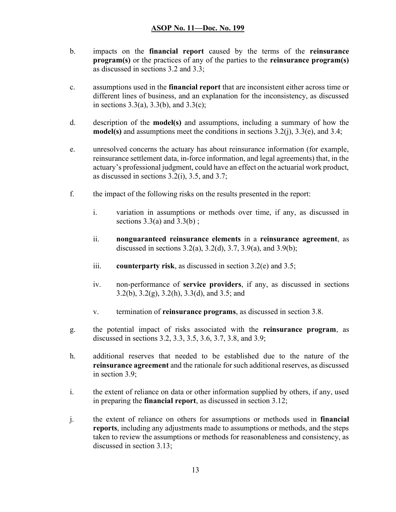- b. impacts on the financial report caused by the terms of the reinsurance program(s) or the practices of any of the parties to the reinsurance program(s) as discussed in sections 3.2 and 3.3;
- c. assumptions used in the financial report that are inconsistent either across time or different lines of business, and an explanation for the inconsistency, as discussed in sections  $3.3(a)$ ,  $3.3(b)$ , and  $3.3(c)$ ;
- d. description of the model(s) and assumptions, including a summary of how the model(s) and assumptions meet the conditions in sections  $3.2(i)$ ,  $3.3(e)$ , and  $3.4$ ;
- e. unresolved concerns the actuary has about reinsurance information (for example, reinsurance settlement data, in-force information, and legal agreements) that, in the actuary's professional judgment, could have an effect on the actuarial work product, as discussed in sections 3.2(i), 3.5, and 3.7;
- f. the impact of the following risks on the results presented in the report:
	- i. variation in assumptions or methods over time, if any, as discussed in sections  $3.3(a)$  and  $3.3(b)$ ;
	- ii. nonguaranteed reinsurance elements in a reinsurance agreement, as discussed in sections  $3.2(a)$ ,  $3.2(d)$ ,  $3.7$ ,  $3.9(a)$ , and  $3.9(b)$ ;
	- iii. counterparty risk, as discussed in section  $3.2(e)$  and  $3.5$ ;
	- iv. non-performance of service providers, if any, as discussed in sections 3.2(b), 3.2(g), 3.2(h), 3.3(d), and 3.5; and
	- v. termination of reinsurance programs, as discussed in section 3.8.
- g. the potential impact of risks associated with the reinsurance program, as discussed in sections 3.2, 3.3, 3.5, 3.6, 3.7, 3.8, and 3.9;
- h. additional reserves that needed to be established due to the nature of the reinsurance agreement and the rationale for such additional reserves, as discussed in section 3.9;
- i. the extent of reliance on data or other information supplied by others, if any, used in preparing the financial report, as discussed in section 3.12;
- j. the extent of reliance on others for assumptions or methods used in financial reports, including any adjustments made to assumptions or methods, and the steps taken to review the assumptions or methods for reasonableness and consistency, as discussed in section 3.13;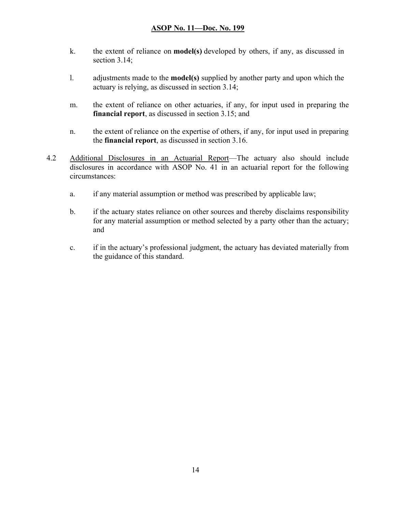- k. the extent of reliance on model(s) developed by others, if any, as discussed in section 3.14:
- l. adjustments made to the model(s) supplied by another party and upon which the actuary is relying, as discussed in section 3.14;
- m. the extent of reliance on other actuaries, if any, for input used in preparing the financial report, as discussed in section 3.15; and
- n. the extent of reliance on the expertise of others, if any, for input used in preparing the financial report, as discussed in section 3.16.
- 4.2 Additional Disclosures in an Actuarial Report—The actuary also should include disclosures in accordance with ASOP No. 41 in an actuarial report for the following circumstances:
	- a. if any material assumption or method was prescribed by applicable law;
	- b. if the actuary states reliance on other sources and thereby disclaims responsibility for any material assumption or method selected by a party other than the actuary; and
	- c. if in the actuary's professional judgment, the actuary has deviated materially from the guidance of this standard.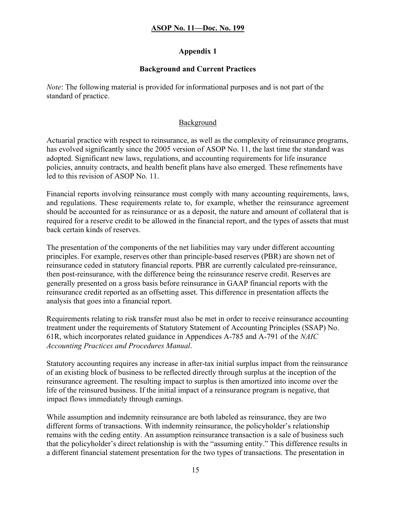## Appendix 1

## Background and Current Practices

Note: The following material is provided for informational purposes and is not part of the standard of practice.

### Background

Actuarial practice with respect to reinsurance, as well as the complexity of reinsurance programs, has evolved significantly since the 2005 version of ASOP No. 11, the last time the standard was adopted. Significant new laws, regulations, and accounting requirements for life insurance policies, annuity contracts, and health benefit plans have also emerged. These refinements have led to this revision of ASOP No. 11.

Financial reports involving reinsurance must comply with many accounting requirements, laws, and regulations. These requirements relate to, for example, whether the reinsurance agreement should be accounted for as reinsurance or as a deposit, the nature and amount of collateral that is required for a reserve credit to be allowed in the financial report, and the types of assets that must back certain kinds of reserves.

The presentation of the components of the net liabilities may vary under different accounting principles. For example, reserves other than principle-based reserves (PBR) are shown net of reinsurance ceded in statutory financial reports. PBR are currently calculated pre-reinsurance, then post-reinsurance, with the difference being the reinsurance reserve credit. Reserves are generally presented on a gross basis before reinsurance in GAAP financial reports with the reinsurance credit reported as an offsetting asset. This difference in presentation affects the analysis that goes into a financial report.

Requirements relating to risk transfer must also be met in order to receive reinsurance accounting treatment under the requirements of Statutory Statement of Accounting Principles (SSAP) No. 61R, which incorporates related guidance in Appendices A-785 and A-791 of the NAIC Accounting Practices and Procedures Manual.

Statutory accounting requires any increase in after-tax initial surplus impact from the reinsurance of an existing block of business to be reflected directly through surplus at the inception of the reinsurance agreement. The resulting impact to surplus is then amortized into income over the life of the reinsured business. If the initial impact of a reinsurance program is negative, that impact flows immediately through earnings.

While assumption and indemnity reinsurance are both labeled as reinsurance, they are two different forms of transactions. With indemnity reinsurance, the policyholder's relationship remains with the ceding entity. An assumption reinsurance transaction is a sale of business such that the policyholder's direct relationship is with the "assuming entity." This difference results in a different financial statement presentation for the two types of transactions. The presentation in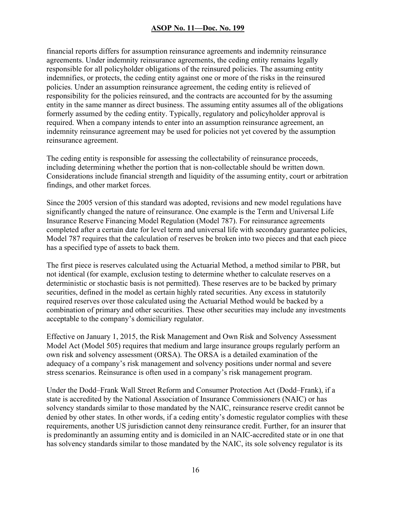financial reports differs for assumption reinsurance agreements and indemnity reinsurance agreements. Under indemnity reinsurance agreements, the ceding entity remains legally responsible for all policyholder obligations of the reinsured policies. The assuming entity indemnifies, or protects, the ceding entity against one or more of the risks in the reinsured policies. Under an assumption reinsurance agreement, the ceding entity is relieved of responsibility for the policies reinsured, and the contracts are accounted for by the assuming entity in the same manner as direct business. The assuming entity assumes all of the obligations formerly assumed by the ceding entity. Typically, regulatory and policyholder approval is required. When a company intends to enter into an assumption reinsurance agreement, an indemnity reinsurance agreement may be used for policies not yet covered by the assumption reinsurance agreement.

The ceding entity is responsible for assessing the collectability of reinsurance proceeds, including determining whether the portion that is non-collectable should be written down. Considerations include financial strength and liquidity of the assuming entity, court or arbitration findings, and other market forces.

Since the 2005 version of this standard was adopted, revisions and new model regulations have significantly changed the nature of reinsurance. One example is the Term and Universal Life Insurance Reserve Financing Model Regulation (Model 787). For reinsurance agreements completed after a certain date for level term and universal life with secondary guarantee policies, Model 787 requires that the calculation of reserves be broken into two pieces and that each piece has a specified type of assets to back them.

The first piece is reserves calculated using the Actuarial Method, a method similar to PBR, but not identical (for example, exclusion testing to determine whether to calculate reserves on a deterministic or stochastic basis is not permitted). These reserves are to be backed by primary securities, defined in the model as certain highly rated securities. Any excess in statutorily required reserves over those calculated using the Actuarial Method would be backed by a combination of primary and other securities. These other securities may include any investments acceptable to the company's domiciliary regulator.

Effective on January 1, 2015, the Risk Management and Own Risk and Solvency Assessment Model Act (Model 505) requires that medium and large insurance groups regularly perform an own risk and solvency assessment (ORSA). The ORSA is a detailed examination of the adequacy of a company's risk management and solvency positions under normal and severe stress scenarios. Reinsurance is often used in a company's risk management program.

Under the Dodd–Frank Wall Street Reform and Consumer Protection Act (Dodd–Frank), if a state is accredited by the National Association of Insurance Commissioners (NAIC) or has solvency standards similar to those mandated by the NAIC, reinsurance reserve credit cannot be denied by other states. In other words, if a ceding entity's domestic regulator complies with these requirements, another US jurisdiction cannot deny reinsurance credit. Further, for an insurer that is predominantly an assuming entity and is domiciled in an NAIC-accredited state or in one that has solvency standards similar to those mandated by the NAIC, its sole solvency regulator is its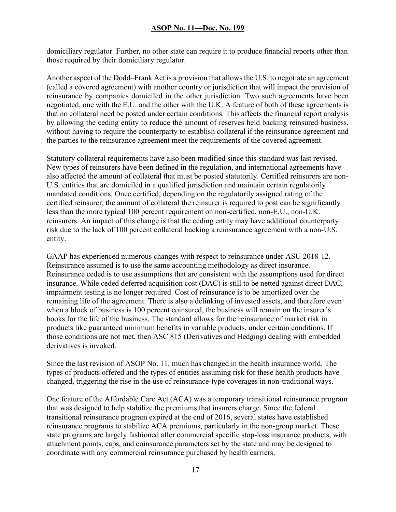domiciliary regulator. Further, no other state can require it to produce financial reports other than those required by their domiciliary regulator.

Another aspect of the Dodd–Frank Act is a provision that allows the U.S. to negotiate an agreement (called a covered agreement) with another country or jurisdiction that will impact the provision of reinsurance by companies domiciled in the other jurisdiction. Two such agreements have been negotiated, one with the E.U. and the other with the U.K. A feature of both of these agreements is that no collateral need be posted under certain conditions. This affects the financial report analysis by allowing the ceding entity to reduce the amount of reserves held backing reinsured business, without having to require the counterparty to establish collateral if the reinsurance agreement and the parties to the reinsurance agreement meet the requirements of the covered agreement.

Statutory collateral requirements have also been modified since this standard was last revised. New types of reinsurers have been defined in the regulation, and international agreements have also affected the amount of collateral that must be posted statutorily. Certified reinsurers are non-U.S. entities that are domiciled in a qualified jurisdiction and maintain certain regulatorily mandated conditions. Once certified, depending on the regulatorily assigned rating of the certified reinsurer, the amount of collateral the reinsurer is required to post can be significantly less than the more typical 100 percent requirement on non-certified, non-E.U., non-U.K. reinsurers. An impact of this change is that the ceding entity may have additional counterparty risk due to the lack of 100 percent collateral backing a reinsurance agreement with a non-U.S. entity.

GAAP has experienced numerous changes with respect to reinsurance under ASU 2018-12. Reinsurance assumed is to use the same accounting methodology as direct insurance. Reinsurance ceded is to use assumptions that are consistent with the assumptions used for direct insurance. While ceded deferred acquisition cost (DAC) is still to be netted against direct DAC, impairment testing is no longer required. Cost of reinsurance is to be amortized over the remaining life of the agreement. There is also a delinking of invested assets, and therefore even when a block of business is 100 percent coinsured, the business will remain on the insurer's books for the life of the business. The standard allows for the reinsurance of market risk in products like guaranteed minimum benefits in variable products, under certain conditions. If those conditions are not met, then ASC 815 (Derivatives and Hedging) dealing with embedded derivatives is invoked.

Since the last revision of ASOP No. 11, much has changed in the health insurance world. The types of products offered and the types of entities assuming risk for these health products have changed, triggering the rise in the use of reinsurance-type coverages in non-traditional ways.

One feature of the Affordable Care Act (ACA) was a temporary transitional reinsurance program that was designed to help stabilize the premiums that insurers charge. Since the federal transitional reinsurance program expired at the end of 2016, several states have established reinsurance programs to stabilize ACA premiums, particularly in the non-group market. These state programs are largely fashioned after commercial specific stop-loss insurance products, with attachment points, caps, and coinsurance parameters set by the state and may be designed to coordinate with any commercial reinsurance purchased by health carriers.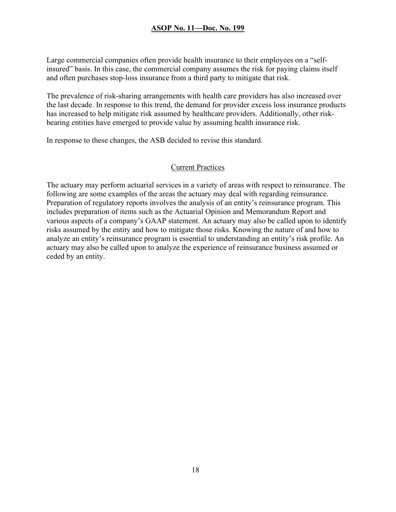Large commercial companies often provide health insurance to their employees on a "selfinsured" basis. In this case, the commercial company assumes the risk for paying claims itself and often purchases stop-loss insurance from a third party to mitigate that risk.

The prevalence of risk-sharing arrangements with health care providers has also increased over the last decade. In response to this trend, the demand for provider excess loss insurance products has increased to help mitigate risk assumed by healthcare providers. Additionally, other riskbearing entities have emerged to provide value by assuming health insurance risk.

In response to these changes, the ASB decided to revise this standard.

#### Current Practices

The actuary may perform actuarial services in a variety of areas with respect to reinsurance. The following are some examples of the areas the actuary may deal with regarding reinsurance. Preparation of regulatory reports involves the analysis of an entity's reinsurance program. This includes preparation of items such as the Actuarial Opinion and Memorandum Report and various aspects of a company's GAAP statement. An actuary may also be called upon to identify risks assumed by the entity and how to mitigate those risks. Knowing the nature of and how to analyze an entity's reinsurance program is essential to understanding an entity's risk profile. An actuary may also be called upon to analyze the experience of reinsurance business assumed or ceded by an entity.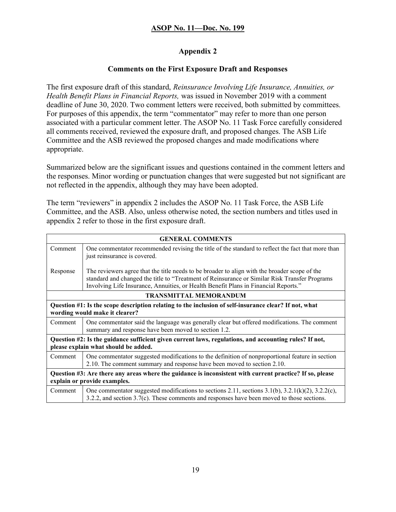## Appendix 2

### Comments on the First Exposure Draft and Responses

The first exposure draft of this standard, Reinsurance Involving Life Insurance, Annuities, or Health Benefit Plans in Financial Reports, was issued in November 2019 with a comment deadline of June 30, 2020. Two comment letters were received, both submitted by committees. For purposes of this appendix, the term "commentator" may refer to more than one person associated with a particular comment letter. The ASOP No. 11 Task Force carefully considered all comments received, reviewed the exposure draft, and proposed changes. The ASB Life Committee and the ASB reviewed the proposed changes and made modifications where appropriate.

Summarized below are the significant issues and questions contained in the comment letters and the responses. Minor wording or punctuation changes that were suggested but not significant are not reflected in the appendix, although they may have been adopted.

The term "reviewers" in appendix 2 includes the ASOP No. 11 Task Force, the ASB Life Committee, and the ASB. Also, unless otherwise noted, the section numbers and titles used in appendix 2 refer to those in the first exposure draft.

| <b>GENERAL COMMENTS</b>                                                                                                                        |                                                                                                                                                                                                                                                                                       |
|------------------------------------------------------------------------------------------------------------------------------------------------|---------------------------------------------------------------------------------------------------------------------------------------------------------------------------------------------------------------------------------------------------------------------------------------|
| Comment                                                                                                                                        | One commentator recommended revising the title of the standard to reflect the fact that more than<br>just reinsurance is covered.                                                                                                                                                     |
| Response                                                                                                                                       | The reviewers agree that the title needs to be broader to align with the broader scope of the<br>standard and changed the title to "Treatment of Reinsurance or Similar Risk Transfer Programs<br>Involving Life Insurance, Annuities, or Health Benefit Plans in Financial Reports." |
| <b>TRANSMITTAL MEMORANDUM</b>                                                                                                                  |                                                                                                                                                                                                                                                                                       |
|                                                                                                                                                | Question #1: Is the scope description relating to the inclusion of self-insurance clear? If not, what<br>wording would make it clearer?                                                                                                                                               |
| Comment                                                                                                                                        | One commentator said the language was generally clear but offered modifications. The comment<br>summary and response have been moved to section 1.2.                                                                                                                                  |
| Question #2: Is the guidance sufficient given current laws, regulations, and accounting rules? If not,<br>please explain what should be added. |                                                                                                                                                                                                                                                                                       |
| Comment                                                                                                                                        | One commentator suggested modifications to the definition of nonproportional feature in section<br>2.10. The comment summary and response have been moved to section 2.10.                                                                                                            |
| Question #3: Are there any areas where the guidance is inconsistent with current practice? If so, please<br>explain or provide examples.       |                                                                                                                                                                                                                                                                                       |
| Comment                                                                                                                                        | One commentator suggested modifications to sections 2.11, sections 3.1(b), 3.2.1(k)(2), 3.2.2(c),<br>3.2.2, and section 3.7(c). These comments and responses have been moved to those sections.                                                                                       |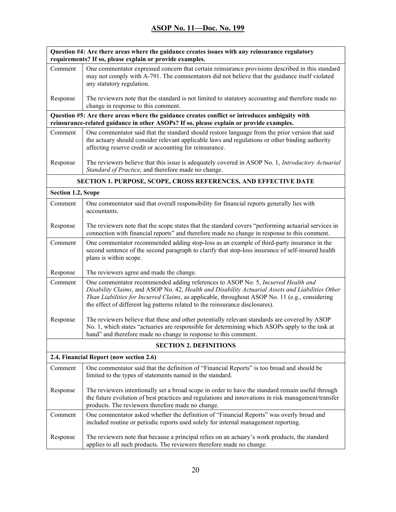| Question #4: Are there areas where the guidance creates issues with any reinsurance regulatory<br>requirements? If so, please explain or provide examples. |                                                                                                                                                                                                                                                                                                                                                                         |
|------------------------------------------------------------------------------------------------------------------------------------------------------------|-------------------------------------------------------------------------------------------------------------------------------------------------------------------------------------------------------------------------------------------------------------------------------------------------------------------------------------------------------------------------|
| Comment                                                                                                                                                    | One commentator expressed concern that certain reinsurance provisions described in this standard<br>may not comply with A-791. The commentators did not believe that the guidance itself violated<br>any statutory regulation.                                                                                                                                          |
| Response                                                                                                                                                   | The reviewers note that the standard is not limited to statutory accounting and therefore made no<br>change in response to this comment.                                                                                                                                                                                                                                |
|                                                                                                                                                            | Question #5: Are there areas where the guidance creates conflict or introduces ambiguity with<br>reinsurance-related guidance in other ASOPs? If so, please explain or provide examples.                                                                                                                                                                                |
| Comment                                                                                                                                                    | One commentator said that the standard should restore language from the prior version that said<br>the actuary should consider relevant applicable laws and regulations or other binding authority<br>affecting reserve credit or accounting for reinsurance.                                                                                                           |
| Response                                                                                                                                                   | The reviewers believe that this issue is adequately covered in ASOP No. 1, Introductory Actuarial<br>Standard of Practice, and therefore made no change.                                                                                                                                                                                                                |
|                                                                                                                                                            | <b>SECTION 1. PURPOSE, SCOPE, CROSS REFERENCES, AND EFFECTIVE DATE</b>                                                                                                                                                                                                                                                                                                  |
| Section 1.2, Scope                                                                                                                                         |                                                                                                                                                                                                                                                                                                                                                                         |
| Comment                                                                                                                                                    | One commentator said that overall responsibility for financial reports generally lies with<br>accountants.                                                                                                                                                                                                                                                              |
| Response                                                                                                                                                   | The reviewers note that the scope states that the standard covers "performing actuarial services in<br>connection with financial reports" and therefore made no change in response to this comment.                                                                                                                                                                     |
| Comment                                                                                                                                                    | One commentator recommended adding stop-loss as an example of third-party insurance in the<br>second sentence of the second paragraph to clarify that stop-loss insurance of self-insured health<br>plans is within scope.                                                                                                                                              |
| Response                                                                                                                                                   | The reviewers agree and made the change.                                                                                                                                                                                                                                                                                                                                |
| Comment                                                                                                                                                    | One commentator recommended adding references to ASOP No. 5, Incurred Health and<br>Disability Claims, and ASOP No. 42, Health and Disability Actuarial Assets and Liabilities Other<br>Than Liabilities for Incurred Claims, as applicable, throughout ASOP No. 11 (e.g., considering<br>the effect of different lag patterns related to the reinsurance disclosures). |
| Response                                                                                                                                                   | The reviewers believe that these and other potentially relevant standards are covered by ASOP<br>No. 1, which states "actuaries are responsible for determining which ASOPs apply to the task at<br>hand" and therefore made no change in response to this comment.                                                                                                     |
|                                                                                                                                                            | <b>SECTION 2. DEFINITIONS</b>                                                                                                                                                                                                                                                                                                                                           |
|                                                                                                                                                            | 2.4, Financial Report (now section 2.6)                                                                                                                                                                                                                                                                                                                                 |
| Comment                                                                                                                                                    | One commentator said that the definition of "Financial Reports" is too broad and should be<br>limited to the types of statements named in the standard.                                                                                                                                                                                                                 |
| Response                                                                                                                                                   | The reviewers intentionally set a broad scope in order to have the standard remain useful through<br>the future evolution of best practices and regulations and innovations in risk management/transfer<br>products. The reviewers therefore made no change.                                                                                                            |
| Comment                                                                                                                                                    | One commentator asked whether the definition of "Financial Reports" was overly broad and<br>included routine or periodic reports used solely for internal management reporting.                                                                                                                                                                                         |
| Response                                                                                                                                                   | The reviewers note that because a principal relies on an actuary's work products, the standard<br>applies to all such products. The reviewers therefore made no change.                                                                                                                                                                                                 |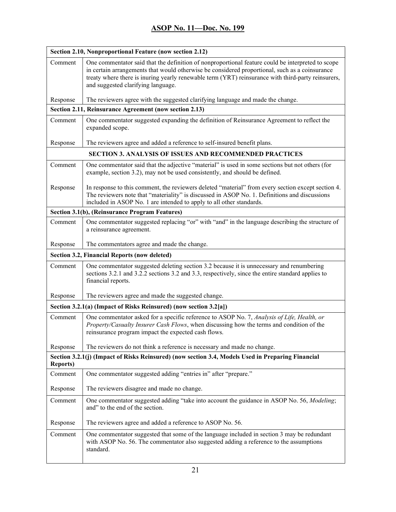| Section 2.10, Nonproportional Feature (now section 2.12)          |                                                                                                                                                                                                                                                                                                                                                 |  |
|-------------------------------------------------------------------|-------------------------------------------------------------------------------------------------------------------------------------------------------------------------------------------------------------------------------------------------------------------------------------------------------------------------------------------------|--|
| Comment                                                           | One commentator said that the definition of nonproportional feature could be interpreted to scope<br>in certain arrangements that would otherwise be considered proportional, such as a coinsurance<br>treaty where there is inuring yearly renewable term (YRT) reinsurance with third-party reinsurers,<br>and suggested clarifying language. |  |
| Response                                                          | The reviewers agree with the suggested clarifying language and made the change.                                                                                                                                                                                                                                                                 |  |
|                                                                   | Section 2.11, Reinsurance Agreement (now section 2.13)                                                                                                                                                                                                                                                                                          |  |
| Comment                                                           | One commentator suggested expanding the definition of Reinsurance Agreement to reflect the<br>expanded scope.                                                                                                                                                                                                                                   |  |
| Response                                                          | The reviewers agree and added a reference to self-insured benefit plans.                                                                                                                                                                                                                                                                        |  |
|                                                                   | <b>SECTION 3. ANALYSIS OF ISSUES AND RECOMMENDED PRACTICES</b>                                                                                                                                                                                                                                                                                  |  |
| Comment                                                           | One commentator said that the adjective "material" is used in some sections but not others (for<br>example, section 3.2), may not be used consistently, and should be defined.                                                                                                                                                                  |  |
| Response                                                          | In response to this comment, the reviewers deleted "material" from every section except section 4.<br>The reviewers note that "materiality" is discussed in ASOP No. 1. Definitions and discussions<br>included in ASOP No. 1 are intended to apply to all other standards.                                                                     |  |
|                                                                   | Section 3.1(b), (Reinsurance Program Features)                                                                                                                                                                                                                                                                                                  |  |
| Comment                                                           | One commentator suggested replacing "or" with "and" in the language describing the structure of<br>a reinsurance agreement.                                                                                                                                                                                                                     |  |
| Response                                                          | The commentators agree and made the change.                                                                                                                                                                                                                                                                                                     |  |
|                                                                   | Section 3.2, Financial Reports (now deleted)                                                                                                                                                                                                                                                                                                    |  |
| Comment                                                           | One commentator suggested deleting section 3.2 because it is unnecessary and renumbering<br>sections 3.2.1 and 3.2.2 sections 3.2 and 3.3, respectively, since the entire standard applies to<br>financial reports.                                                                                                                             |  |
| Response                                                          | The reviewers agree and made the suggested change.                                                                                                                                                                                                                                                                                              |  |
| Section 3.2.1(a) (Impact of Risks Reinsured) (now section 3.2[a]) |                                                                                                                                                                                                                                                                                                                                                 |  |
| Comment                                                           | One commentator asked for a specific reference to ASOP No. 7, Analysis of Life, Health, or<br>Property/Casualty Insurer Cash Flows, when discussing how the terms and condition of the<br>reinsurance program impact the expected cash flows.                                                                                                   |  |
| Response                                                          | The reviewers do not think a reference is necessary and made no change.                                                                                                                                                                                                                                                                         |  |
| <b>Reports</b> )                                                  | Section 3.2.1(j) (Impact of Risks Reinsured) (now section 3.4, Models Used in Preparing Financial                                                                                                                                                                                                                                               |  |
| Comment                                                           | One commentator suggested adding "entries in" after "prepare."                                                                                                                                                                                                                                                                                  |  |
| Response                                                          | The reviewers disagree and made no change.                                                                                                                                                                                                                                                                                                      |  |
| Comment                                                           | One commentator suggested adding "take into account the guidance in ASOP No. 56, Modeling;<br>and" to the end of the section.                                                                                                                                                                                                                   |  |
| Response                                                          | The reviewers agree and added a reference to ASOP No. 56.                                                                                                                                                                                                                                                                                       |  |
| Comment                                                           | One commentator suggested that some of the language included in section 3 may be redundant<br>with ASOP No. 56. The commentator also suggested adding a reference to the assumptions<br>standard.                                                                                                                                               |  |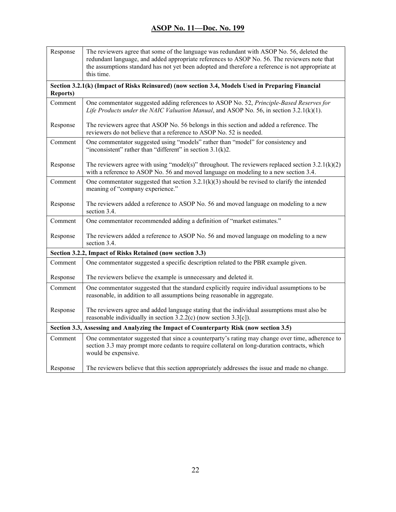| Response         | The reviewers agree that some of the language was redundant with ASOP No. 56, deleted the<br>redundant language, and added appropriate references to ASOP No. 56. The reviewers note that<br>the assumptions standard has not yet been adopted and therefore a reference is not appropriate at<br>this time. |
|------------------|--------------------------------------------------------------------------------------------------------------------------------------------------------------------------------------------------------------------------------------------------------------------------------------------------------------|
| <b>Reports</b> ) | Section 3.2.1(k) (Impact of Risks Reinsured) (now section 3.4, Models Used in Preparing Financial                                                                                                                                                                                                            |
| Comment          | One commentator suggested adding references to ASOP No. 52, Principle-Based Reserves for<br>Life Products under the NAIC Valuation Manual, and ASOP No. 56, in section 3.2.1(k)(1).                                                                                                                          |
| Response         | The reviewers agree that ASOP No. 56 belongs in this section and added a reference. The<br>reviewers do not believe that a reference to ASOP No. 52 is needed.                                                                                                                                               |
| Comment          | One commentator suggested using "models" rather than "model" for consistency and<br>"inconsistent" rather than "different" in section $3.1(k)2$ .                                                                                                                                                            |
| Response         | The reviewers agree with using "model(s)" throughout. The reviewers replaced section $3.2.1(k)(2)$<br>with a reference to ASOP No. 56 and moved language on modeling to a new section 3.4.                                                                                                                   |
| Comment          | One commentator suggested that section $3.2.1(k)(3)$ should be revised to clarify the intended<br>meaning of "company experience."                                                                                                                                                                           |
| Response         | The reviewers added a reference to ASOP No. 56 and moved language on modeling to a new<br>section 3.4.                                                                                                                                                                                                       |
| Comment          | One commentator recommended adding a definition of "market estimates."                                                                                                                                                                                                                                       |
| Response         | The reviewers added a reference to ASOP No. 56 and moved language on modeling to a new<br>section 3.4.                                                                                                                                                                                                       |
|                  | Section 3.2.2, Impact of Risks Retained (now section 3.3)                                                                                                                                                                                                                                                    |
| Comment          | One commentator suggested a specific description related to the PBR example given.                                                                                                                                                                                                                           |
| Response         | The reviewers believe the example is unnecessary and deleted it.                                                                                                                                                                                                                                             |
| Comment          | One commentator suggested that the standard explicitly require individual assumptions to be<br>reasonable, in addition to all assumptions being reasonable in aggregate.                                                                                                                                     |
| Response         | The reviewers agree and added language stating that the individual assumptions must also be<br>reasonable individually in section $3.2.2(c)$ (now section $3.3[c]$ ).                                                                                                                                        |
|                  | Section 3.3, Assessing and Analyzing the Impact of Counterparty Risk (now section 3.5)                                                                                                                                                                                                                       |
| Comment          | One commentator suggested that since a counterparty's rating may change over time, adherence to<br>section 3.3 may prompt more cedants to require collateral on long-duration contracts, which<br>would be expensive.                                                                                        |
| Response         | The reviewers believe that this section appropriately addresses the issue and made no change.                                                                                                                                                                                                                |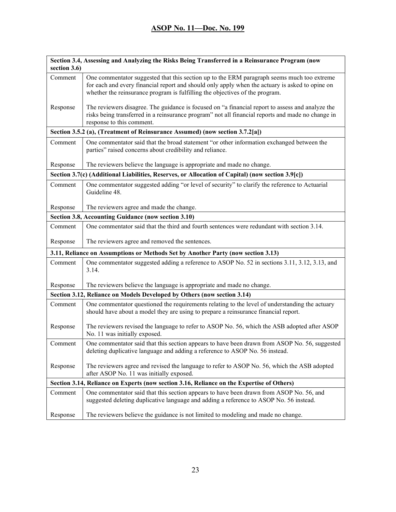| section 3.6)                                                            | Section 3.4, Assessing and Analyzing the Risks Being Transferred in a Reinsurance Program (now                                                                                                                                                                                |
|-------------------------------------------------------------------------|-------------------------------------------------------------------------------------------------------------------------------------------------------------------------------------------------------------------------------------------------------------------------------|
| Comment                                                                 | One commentator suggested that this section up to the ERM paragraph seems much too extreme<br>for each and every financial report and should only apply when the actuary is asked to opine on<br>whether the reinsurance program is fulfilling the objectives of the program. |
| Response                                                                | The reviewers disagree. The guidance is focused on "a financial report to assess and analyze the<br>risks being transferred in a reinsurance program" not all financial reports and made no change in<br>response to this comment.                                            |
|                                                                         | Section 3.5.2 (a), (Treatment of Reinsurance Assumed) (now section 3.7.2[a])                                                                                                                                                                                                  |
| Comment                                                                 | One commentator said that the broad statement "or other information exchanged between the<br>parties" raised concerns about credibility and reliance.                                                                                                                         |
| Response                                                                | The reviewers believe the language is appropriate and made no change.                                                                                                                                                                                                         |
|                                                                         | Section 3.7(c) (Additional Liabilities, Reserves, or Allocation of Capital) (now section 3.9[c])                                                                                                                                                                              |
| Comment                                                                 | One commentator suggested adding "or level of security" to clarify the reference to Actuarial<br>Guideline 48.                                                                                                                                                                |
| Response                                                                | The reviewers agree and made the change.                                                                                                                                                                                                                                      |
|                                                                         | Section 3.8, Accounting Guidance (now section 3.10)                                                                                                                                                                                                                           |
| Comment                                                                 | One commentator said that the third and fourth sentences were redundant with section 3.14.                                                                                                                                                                                    |
| Response                                                                | The reviewers agree and removed the sentences.                                                                                                                                                                                                                                |
|                                                                         | 3.11, Reliance on Assumptions or Methods Set by Another Party (now section 3.13)                                                                                                                                                                                              |
| Comment                                                                 | One commentator suggested adding a reference to ASOP No. 52 in sections 3.11, 3.12, 3.13, and<br>3.14.                                                                                                                                                                        |
| Response                                                                | The reviewers believe the language is appropriate and made no change.                                                                                                                                                                                                         |
| Section 3.12, Reliance on Models Developed by Others (now section 3.14) |                                                                                                                                                                                                                                                                               |
| Comment                                                                 | One commentator questioned the requirements relating to the level of understanding the actuary<br>should have about a model they are using to prepare a reinsurance financial report.                                                                                         |
| Response                                                                | The reviewers revised the language to refer to ASOP No. 56, which the ASB adopted after ASOP<br>No. 11 was initially exposed.                                                                                                                                                 |
| Comment                                                                 | One commentator said that this section appears to have been drawn from ASOP No. 56, suggested<br>deleting duplicative language and adding a reference to ASOP No. 56 instead.                                                                                                 |
| Response                                                                | The reviewers agree and revised the language to refer to ASOP No. 56, which the ASB adopted<br>after ASOP No. 11 was initially exposed.                                                                                                                                       |
|                                                                         | Section 3.14, Reliance on Experts (now section 3.16, Reliance on the Expertise of Others)                                                                                                                                                                                     |
| Comment                                                                 | One commentator said that this section appears to have been drawn from ASOP No. 56, and<br>suggested deleting duplicative language and adding a reference to ASOP No. 56 instead.                                                                                             |
| Response                                                                | The reviewers believe the guidance is not limited to modeling and made no change.                                                                                                                                                                                             |